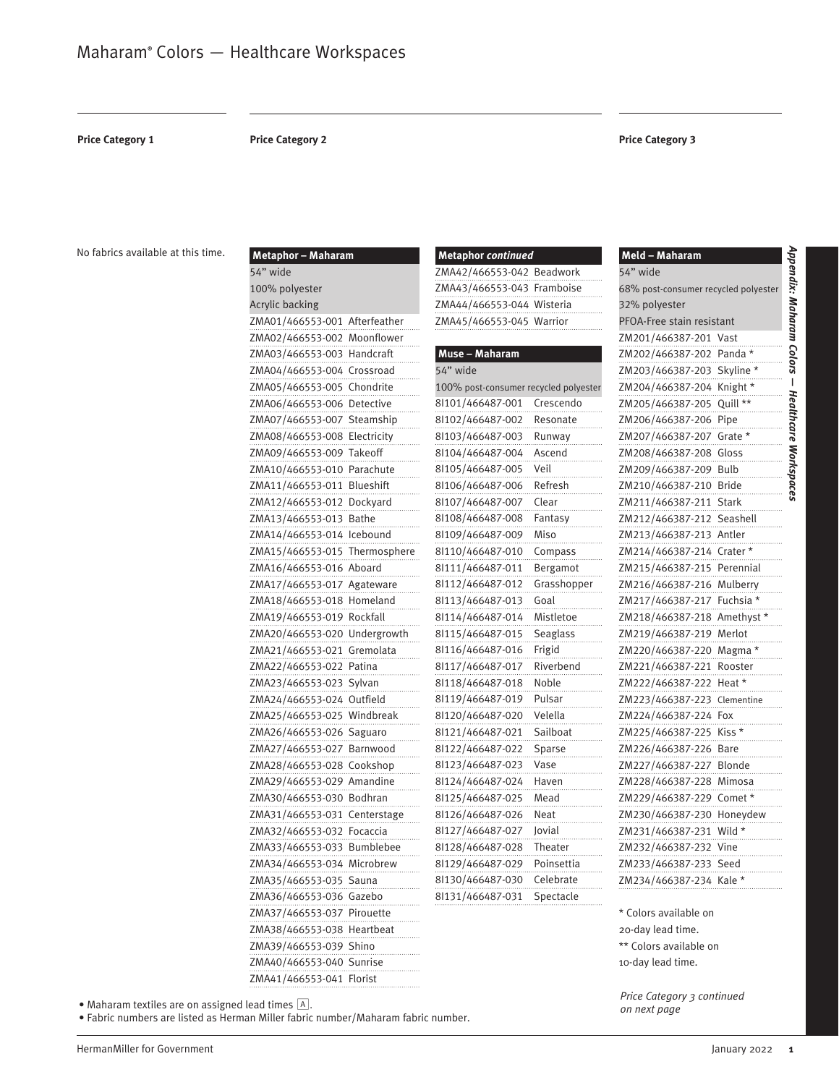**Price Category 1 Price Category 2 Price Category 3**

54" wide

No fabrics available at this time.

| Metaphor - Maharam            |              |
|-------------------------------|--------------|
| 54" wide                      |              |
| 100% polyester                |              |
| Acrylic backing               |              |
| ZMA01/466553-001 Afterfeather |              |
| ZMA02/466553-002 Moonflower   |              |
| ZMA03/466553-003 Handcraft    |              |
| ZMA04/466553-004 Crossroad    |              |
| ZMA05/466553-005              | Chondrite    |
| ZMA06/466553-006              | Detective    |
| ZMA07/466553-007              | Steamship    |
| ZMA08/466553-008              | Electricity  |
| ZMA09/466553-009              | Takeoff      |
| ZMA10/466553-010              | Parachute    |
| ZMA11/466553-011              | Blueshift    |
| ZMA12/466553-012              | Dockyard     |
| ZMA13/466553-013 Bathe        |              |
| ZMA14/466553-014 Icebound     |              |
| ZMA15/466553-015              | Thermosphere |
| ZMA16/466553-016              | Aboard       |
| ZMA17/466553-017              | Agateware    |
| ZMA18/466553-018              | Homeland     |
| ZMA19/466553-019 Rockfall     |              |
| ZMA20/466553-020              | Undergrowth  |
| ZMA21/466553-021              | Gremolata    |
| ZMA22/466553-022              | Patina       |
| ZMA23/466553-023              | Sylvan       |
| ZMA24/466553-024              | Outfield     |
| ZMA25/466553-025              | Windbreak    |
| ZMA26/466553-026              | Saguaro      |
| ZMA27/466553-027              | Barnwood     |
| ZMA28/466553-028              | Cookshop     |
| ZMA29/466553-029              | Amandine     |
| ZMA30/466553-030 Bodhran      |              |
| ZMA31/466553-031              | Centerstage  |
| ZMA32/466553-032 Focaccia     |              |
| ZMA33/466553-033              | Bumblebee    |
| ZMA34/466553-034 Microbrew    |              |
| ZMA35/466553-035 Sauna        |              |
| ZMA36/466553-036 Gazebo       |              |
| ZMA37/466553-037 Pirouette    |              |
| ZMA38/466553-038 Heartbeat    |              |
| ZMA39/466553-039 Shino        |              |
| ZMA40/466553-040 Sunrise      |              |
| ZMA41/466553-041 Florist      |              |

| <b>Metaphor</b> continued  |  |
|----------------------------|--|
| ZMA42/466553-042 Beadwork  |  |
| ZMA43/466553-043 Framboise |  |
| ZMA44/466553-044 Wisteria  |  |
| ZMA45/466553-045 Warrior   |  |
|                            |  |

| Muse - Maharam                        |             |
|---------------------------------------|-------------|
| 54" wide                              |             |
| 100% post-consumer recycled polyester |             |
| 8l101/466487-001                      | Crescendo   |
| 8l102/466487-002                      | Resonate    |
| 8l103/466487-003                      | Runway      |
| 8l104/466487-004                      | Ascend      |
| 8l105/466487-005                      | Veil        |
| 8l106/466487-006                      | Refresh     |
| 8l107/466487-007                      | Clear       |
| 8l108/466487-008                      | Fantasy     |
| 8l109/466487-009                      | Miso        |
| 8l110/466487-010                      | Compass     |
| 8l111/466487-011                      | Bergamot    |
| 8l112/466487-012                      | Grasshopper |
| 8l113/466487-013                      | Goal        |
| 8l114/466487-014                      | Mistletoe   |
| 8l115/466487-015                      | Seaglass    |
| 8l116/466487-016                      | Frigid      |
| 8l117/466487-017                      | Riverbend   |
| 8l118/466487-018                      | Noble       |
| 8l119/466487-019                      | Pulsar      |
| 8l120/466487-020                      | Velella     |
| 8l121/466487-021                      | Sailboat    |
| 8l122/466487-022                      | Sparse      |
| 8l123/466487-023                      | Vase        |
| 8l124/466487-024                      | Haven       |
| 8l125/466487-025                      | Mead        |
| 8l126/466487-026                      | Neat        |
| 8l127/466487-027                      | Jovial      |
| 8l128/466487-028                      | Theater     |
| 8l129/466487-029                      | Poinsettia  |
| 8l130/466487-030                      | Celebrate   |
| 8l131/466487-031                      | Spectacle   |
|                                       |             |

#### Appendix: Maharam Colors **Meld – Maharam** 68% post-consumer recycled polyester 32% polyester PFOA-Free stain resistant ZM201/466387-201 Vast ZM202/466387-202 Panda \* ZM203/466387-203 Skyline \* ZM204/466387-204 Knight \* ZM205/466387-205 Quill \*\* ZM206/466387-206 Pipe ZM207/466387-207 Grate \* ZM208/466387-208 Gloss ZM209/466387-209 Bulb ZM210/466387-210 Bride ZM211/466387-211 Stark ZM212/466387-212 Seashell ZM213/466387-213 Antler ZM214/466387-214 Crater \* ZM215/466387-215 Perennial ZM216/466387-216 Mulberry ZM217/466387-217 Fuchsia \* ZM218/466387-218 Amethyst \* ZM219/466387-219 Merlot ZM220/466387-220 Magma \* ZM221/466387-221 Rooster ZM222/466387-222 Heat \* ZM223/466387-223 Clementine ZM224/466387-224 Fox ZM225/466387-225 Kiss \* ZM226/466387-226 Bare ZM227/466387-227 Blonde ZM228/466387-228 Mimosa

*Appendix: Maharam Colors* 

 *Healthcare Workspaces*

Healthcare Workspaces

 $\overline{\phantom{a}}$ 

ZM232/466387-232 Vine ZM233/466387-233 Seed ZM234/466387-234 Kale \* \* Colors available on 20-day lead time. \*\* Colors available on 10-day lead time.

ZM229/466387-229 Comet \* ZM230/466387-230 Honeydew ZM231/466387-231 Wild \*

*Price Category 3 continued on next page*

• Maharam textiles are on assigned lead times A.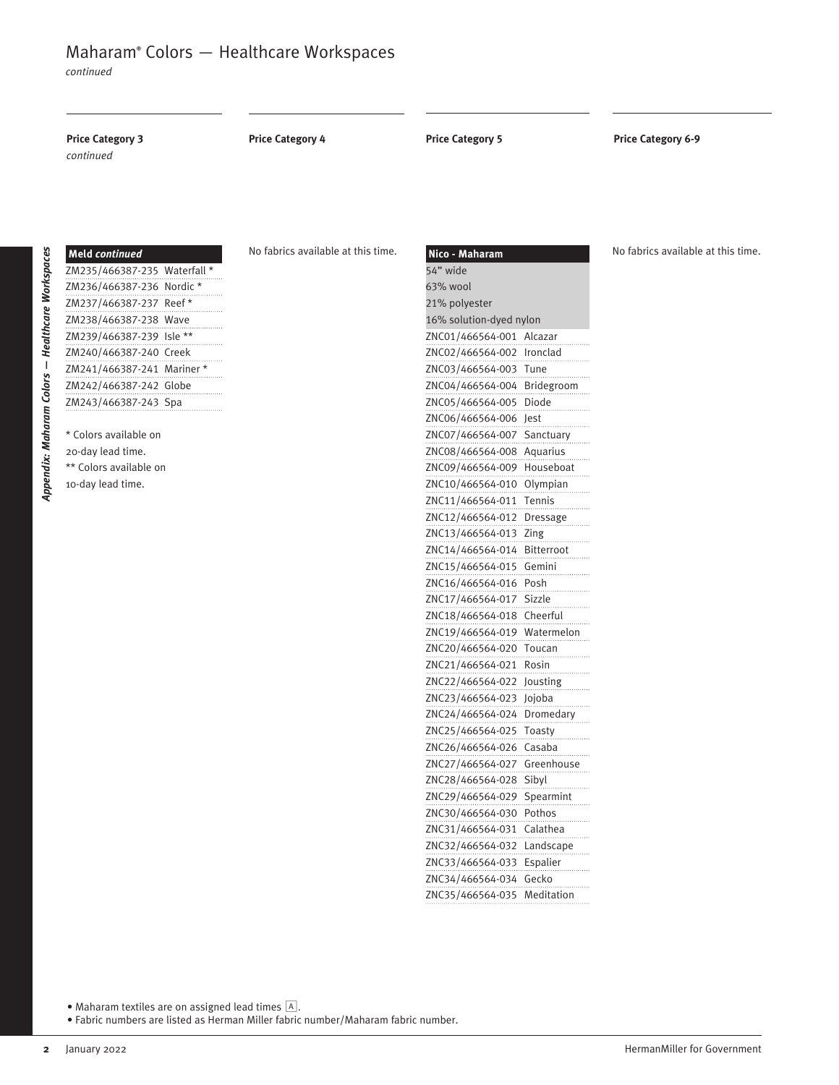*continued*

# **Price Category 3 Price Category 5 Price Category 6-9** *continued* **Price Category 4**

| <b>Meld continued</b>        |  |
|------------------------------|--|
| ZM235/466387-235 Waterfall * |  |
| ZM236/466387-236 Nordic*     |  |
| ZM237/466387-237 Reef*       |  |
| ZM238/466387-238 Wave        |  |
| ZM239/466387-239 Isle **     |  |
| ZM240/466387-240 Creek       |  |
| ZM241/466387-241 Mariner*    |  |
| ZM242/466387-242 Globe       |  |
| ZM243/466387-243 Spa         |  |
|                              |  |

*Appendix: Maharam Colors* 

Appendix: Maharam Colors - Healthcare Workspaces

**—** *Healthcare Workspaces*

\* Colors available on 20-day lead time. \*\* Colors available on

10-day lead time.

No fabrics available at this time.

| Nico - Maharam          |            |
|-------------------------|------------|
| 54" wide                |            |
| 63% wool                |            |
| 21% polyester           |            |
| 16% solution-dyed nylon |            |
| ZNC01/466564-001        | Alcazar    |
| ZNC02/466564-002        | Ironclad   |
| ZNC03/466564-003        | Tune       |
| ZNC04/466564-004        | Bridegroom |
| ZNC05/466564-005        | Diode      |
| ZNC06/466564-006        | Jest       |
| ZNC07/466564-007        | Sanctuary  |
| ZNC08/466564-008        | Aquarius   |
| ZNC09/466564-009        | Houseboat  |
| ZNC10/466564-010        | Olympian   |
| ZNC11/466564-011        | Tennis     |
| ZNC12/466564-012        | Dressage   |
| ZNC13/466564-013        | Zing       |
| ZNC14/466564-014        | Bitterroot |
| ZNC15/466564-015        | Gemini     |
| ZNC16/466564-016        | Posh       |
| ZNC17/466564-017        | Sizzle     |
| ZNC18/466564-018        | Cheerful   |
| ZNC19/466564-019        | Watermelon |
| ZNC20/466564-020        | Toucan     |
| ZNC21/466564-021        | Rosin      |
| ZNC22/466564-022        | Jousting   |
| ZNC23/466564-023        | Jojoba     |
| ZNC24/466564-024        | Dromedary  |
| ZNC25/466564-025        | Toasty     |
| ZNC26/466564-026        | Casaba     |
| ZNC27/466564-027        | Greenhouse |
| ZNC28/466564-028        | Sibyl      |
| ZNC29/466564-029        | Spearmint  |
| ZNC30/466564-030        | Pothos     |
| 31/466564-031<br>ZNC    | Calathea   |
| ZNC32/466564-032        | Landscape  |
| ZNC33/466564-033        | Espalier   |
| ZNC34/466564-034        | Gecko      |
| ZNC35/466564-035        | Meditation |

No fabrics available at this time.

• Maharam textiles are on assigned lead times  $\boxed{A}$ .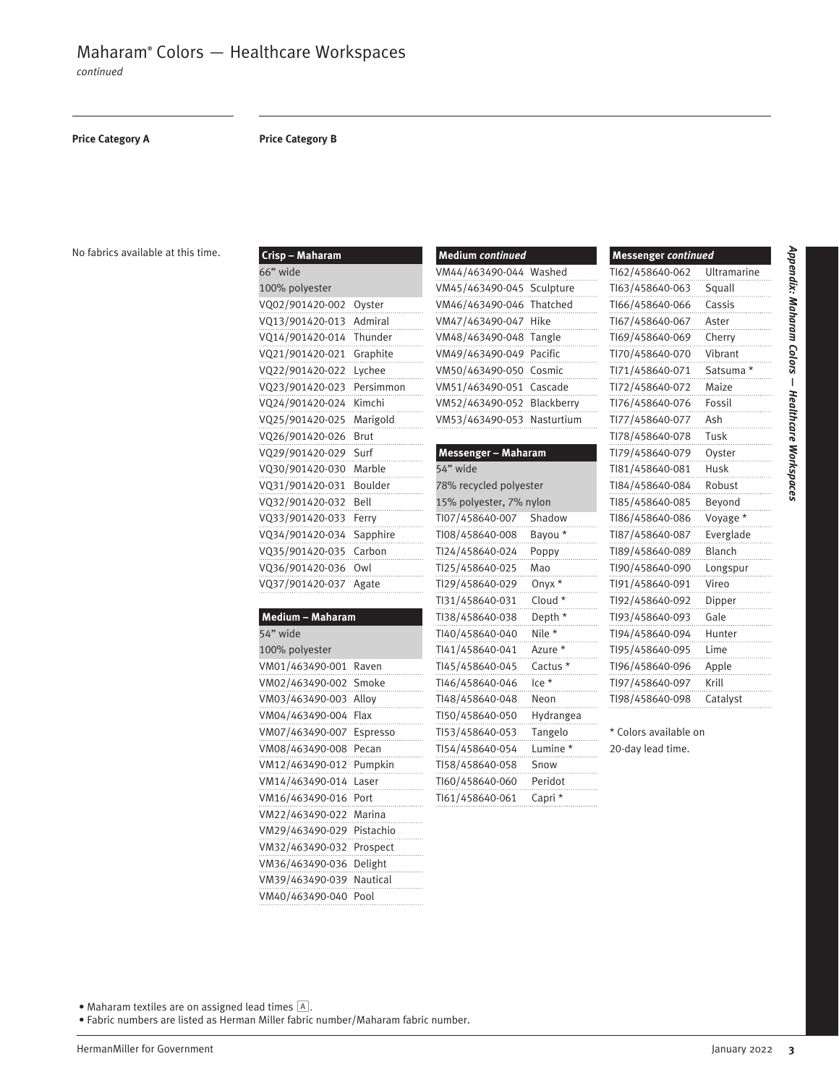*continued*

#### **Price Category A Price Category B**

**Crisp – Maharam**

No fabrics available at this time.

| CHSP – Manarani   |                  |
|-------------------|------------------|
| 66" wide          |                  |
| 100% polyester    |                  |
| VQ02/901420-002   | Oyster<br>.      |
| VQ13/901420-013   | Admiral<br>.     |
| VQ14/901420-014   | Thunder          |
| VQ21/901420-021   | Graphite<br>.    |
| VQ22/901420-022   | Lychee<br>.      |
| VQ23/901420-023   | ---<br>Persimmon |
| VQ24/901420-024   | Kimchi<br>.      |
| VQ25/901420-025   | Marigold         |
| VQ26/901420-026   | Brut<br>.        |
| VQ29/901420-029   | Surf<br>.        |
| VQ30/901420-030   | Marble           |
| VQ31/901420-031   |                  |
| VQ32/901420-032   | Bell             |
| VQ33/901420-033   | Ferry<br>.       |
| VQ34/901420-034   | Sapphire         |
| VQ35/901420-035   | Carbon           |
| VQ36/901420-036   | 0w1              |
| VQ37/901420-037   | Agate            |
|                   |                  |
| Medium - Maharam  |                  |
| 54" wide          |                  |
| 100% polyester    |                  |
| 11110111177100001 | <b>Davis</b>     |

| 54" wide        |           |
|-----------------|-----------|
| 100% polyester  |           |
| VM01/463490-001 | Raven     |
| VM02/463490-002 | Smoke     |
| VM03/463490-003 | Allov     |
| VM04/463490-004 | Flax      |
| VM07/463490-007 | Espresso  |
| VM08/463490-008 | Pecan     |
| VM12/463490-012 | Pumpkin   |
| VM14/463490-014 | Laser     |
| VM16/463490-016 | Port      |
| VM22/463490-022 | Marina    |
| VM29/463490-029 | Pistachio |
| VM32/463490-032 | Prospect  |
| VM36/463490-036 | Delight   |
| VM39/463490-039 | Nautical  |
| VM40/463490-040 | Pool      |

| <b>Medium continued</b>    |  |  |
|----------------------------|--|--|
| VM44/463490-044 Washed     |  |  |
| VM45/463490-045 Sculpture  |  |  |
| VM46/463490-046 Thatched   |  |  |
| VM47/463490-047 Hike       |  |  |
| VM48/463490-048 Tangle     |  |  |
| VM49/463490-049 Pacific    |  |  |
| VM50/463490-050 Cosmic     |  |  |
| VM51/463490-051 Cascade    |  |  |
| VM52/463490-052 Blackberry |  |  |
| VM53/463490-053 Nasturtium |  |  |

| Messenger - Maharam     |              |  |
|-------------------------|--------------|--|
| 54" wide                |              |  |
| 78% recycled polyester  |              |  |
| 15% polyester, 7% nylon |              |  |
| TI07/458640-007         | Shadow       |  |
| TI08/458640-008         | Bayou *      |  |
| Tl24/458640-024         | Poppy        |  |
| Tl25/458640-025         | Mao<br>.     |  |
| Tl29/458640-029         | Onyx *       |  |
| TI31/458640-031         | Cloud *      |  |
| TI38/458640-038         | Depth *      |  |
| TI40/458640-040         | Nile *<br>.  |  |
| TI41/458640-041         | Azure *      |  |
| TI45/458640-045         | Cactus *     |  |
| TI46/458640-046         | lce *<br>.   |  |
| TI48/458640-048         | Neon         |  |
| TI50/458640-050         | Hydrangea    |  |
| TI53/458640-053         | Tangelo      |  |
| TI54/458640-054         | Lumine *     |  |
| TI58/458640-058         | Snow         |  |
| TI60/458640-060         | Peridot      |  |
| TI61/458640-061         | Capri *<br>. |  |

| <b>Messenger continued</b> |                    |
|----------------------------|--------------------|
| TI62/458640-062            | <b>Ultramarine</b> |
| TI63/458640-063            | Squall             |
| TI66/458640-066            | Cassis             |
| TI67/458640-067            | Aster              |
| TI69/458640-069            | Cherry             |
| TI70/458640-070            | Vibrant            |
| TI71/458640-071            | Satsuma            |
| TI72/458640-072            | Maize              |
| TI76/458640-076            | Fossil             |
| TI77/458640-077            | Ash                |
| TI78/458640-078            | Tusk               |
| TI79/458640-079            | Ovster             |
| TI81/458640-081            | Husk               |
| TI84/458640-084            | Robust             |
| TI85/458640-085            | Beyond             |
| TI86/458640-086            | Voyage *           |
| TI87/458640-087            | Everglade          |
| TI89/458640-089            | Blanch             |
| TI90/458640-090            | Longspur           |
| TI91/458640-091            | Vireo              |
| TI92/458640-092            | Dipper             |
| TI93/458640-093            | Gale               |
| TI94/458640-094            | Hunter             |
| TI95/458640-095            | Lime               |
| TI96/458640-096            | Apple              |
| TI97/458640-097            | Krill              |
| TI98/458640-098            | Catalyst           |
|                            |                    |

\* Colors available on 20-day lead time.

Appendix: Maharam Colors — Healthcare Workspaces *Appendix: Maharam Colors Healthcare Workspaces*

• Maharam textiles are on assigned lead times  $\boxed{\mathbb{A}}$ .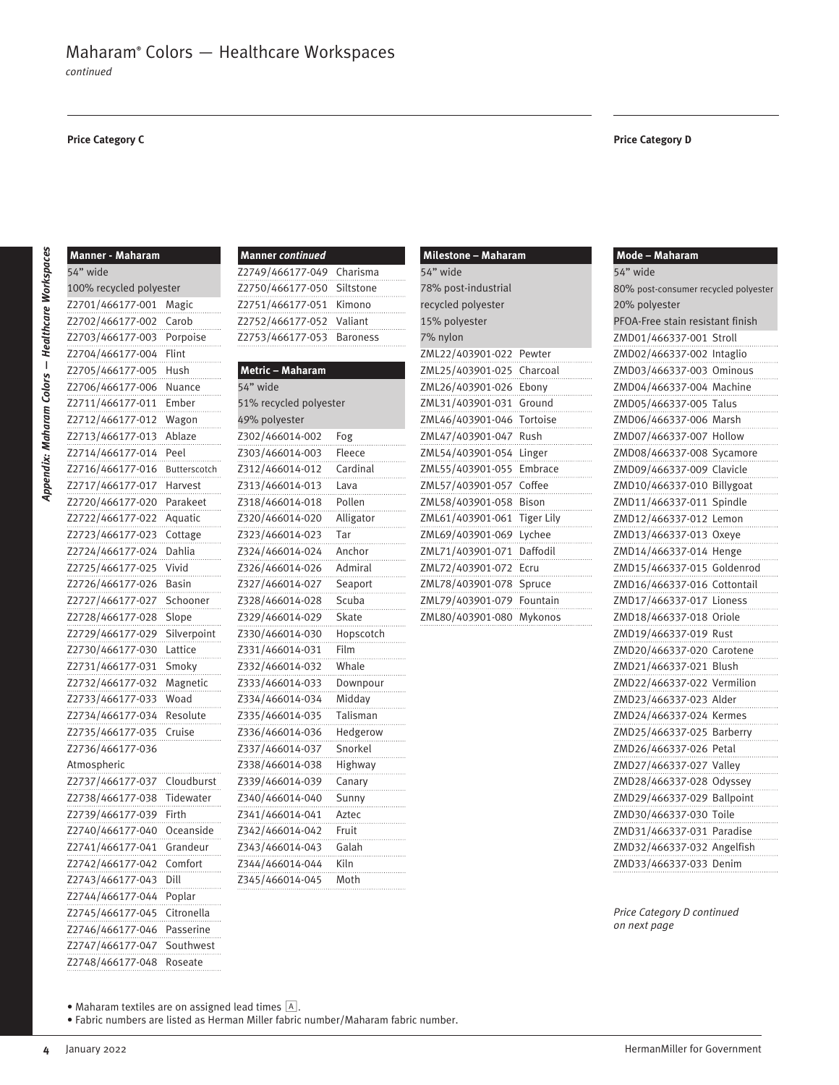#### **Price Category C Price Category D**

| <b>Manner - Maharam</b> |              |
|-------------------------|--------------|
| 54" wide                |              |
| 100% recycled polyester |              |
| Z2701/466177-001        | Magic        |
| Z2702/466177-002        | Carob        |
| Z2703/466177-003        | Porpoise     |
| Z2704/466177-004        | Flint        |
| Z2705/466177-005        | Hush         |
| Z2706/466177-006        | Nuance       |
| Z2711/466177-011        | Ember        |
| Z2712/466177-012        | Wagon        |
| Z2713/466177-013        | Ablaze       |
| Z2714/466177-014        | Peel         |
| Z2716/466177-016        | Butterscotch |
| Z2717/466177-017        | Harvest      |
| Z2720/466177-020        | Parakeet     |
| Z2722/466177-022        | Aquatic      |
| Z2723/466177-023        | Cottage      |
| Z2724/466177-024        | Dahlia       |
| Z2725/466177-025        | Vivid        |
| Z2726/466177-026        | Basin        |
| Z2727/466177-027        | Schooner     |
| Z2728/466177-028        | Slope        |
| Z2729/466177-029        | Silverpoint  |
| Z2730/466177-030        | Lattice      |
| Z2731/466177-031        | Smoky        |
| Z2732/466177-032        | Magnetic     |
| Z2733/466177-033        | Woad         |
| Z2734/466177-034        | Resolute     |
| Z2735/466177-035        | Cruise       |
| Z2736/466177-036        |              |
| Atmospheric             |              |
| Z2737/466177-037        | Cloudburst   |
| Z2738/466177-038        | Tidewater    |
| Z2739/466177-039        | Firth        |
| Z2740/466177-040        | Oceanside    |
| Z2741/466177-041        | Grandeur     |
| Z2742/466177-042        | Comfort      |
| Z2743/466177-043        | Dill         |
| Z2744/466177-044        | Poplar       |
| Z2745/466177-045        | Citronella   |
| Z2746/466177-046        | Passerine    |
| Z2747/466177-047        | Southwest    |
| Z2748/466177-048        | Roseate      |

| <b>Manner continued</b>    |  |
|----------------------------|--|
| Z2749/466177-049 Charisma  |  |
| Z2750/466177-050 Siltstone |  |
| Z2751/466177-051 Kimono    |  |
| Z2752/466177-052 Valiant   |  |
| Z2753/466177-053 Baroness  |  |
|                            |  |

### **Metric – Maharam** 54" wide 51% recycled polyester 49% polyester Z302/466014-002 Fog Z303/466014-003 Fleece Z312/466014-012 Cardinal Z313/466014-013 Lava Z318/466014-018 Pollen Z320/466014-020 Alligator Z323/466014-023 Tar Z324/466014-024 Anchor Z326/466014-026 Admiral Z327/466014-027 Seaport Z328/466014-028 Scuba Z329/466014-029 Skate Z330/466014-030 Hopscotch Z331/466014-031 Film Z332/466014-032 Whale Z333/466014-033 Downpour Z334/466014-034 Midday Z335/466014-035 Talisman Z336/466014-036 Hedgerow Z337/466014-037 Snorkel Z338/466014-038 Highway Z339/466014-039 Canary Z340/466014-040 Sunny Z341/466014-041 Aztec Z342/466014-042 Fruit Z343/466014-043 Galah Z344/466014-044 Kiln Z345/466014-045 Moth

| Milestone - Maharam         |      |  |
|-----------------------------|------|--|
| 54" wide                    |      |  |
| 78% post-industrial         |      |  |
| recycled polyester          |      |  |
| 15% polyester               |      |  |
| 7% nylon                    |      |  |
| ZML22/403901-022 Pewter     | .    |  |
| ZML25/403901-025 Charcoal   |      |  |
|                             |      |  |
| ZML31/403901-031 Ground     |      |  |
|                             |      |  |
|                             |      |  |
|                             |      |  |
| ZML55/403901-055 Embrace    |      |  |
| ZML57/403901-057 Coffee     |      |  |
| ZML58/403901-058 Bison      | .    |  |
| ZML61/403901-061 Tiger Lily |      |  |
| ZML69/403901-069 Lychee     |      |  |
| ZML71/403901-071 Daffodil   |      |  |
| ZML72/403901-072            | Ecru |  |
| ZML78/403901-078 Spruce     |      |  |
| ZML79/403901-079 Fountain   |      |  |
| ZML80/403901-080 Mykonos    |      |  |

| Mode - Maharam                       |  |  |
|--------------------------------------|--|--|
| 54" wide                             |  |  |
| 80% post-consumer recycled polyester |  |  |
| 20% polyester                        |  |  |
| PFOA-Free stain resistant finish     |  |  |
| Stroll<br>ZMD01/466337-001           |  |  |
| ZMD02/466337-002<br>Intaglio         |  |  |
| ZMD03/466337-003<br>Ominous          |  |  |
| ZMD04/466337-004<br>Machine          |  |  |
| ZMD05/466337-005<br>Talus            |  |  |
| ZMD06/466337-006<br>Marsh            |  |  |
| ZMD07/466337-007<br>Hollow           |  |  |
| ZMD08/466337-008<br>Sycamore         |  |  |
| Clavicle<br>ZMD09/466337-009         |  |  |
| ZMD10/466337-010<br>Billygoat        |  |  |
| ZMD11/466337-011<br>Spindle          |  |  |
| ZMD12/466337-012<br>Lemon            |  |  |
| ZMD13/466337-013<br>Oxeye            |  |  |
| ZMD14/466337-014<br>Henge            |  |  |
| ZMD15/466337-015<br>Goldenrod        |  |  |
| ZMD16/466337-016<br>Cottontail       |  |  |
| ZMD17/466337-017<br>Lioness          |  |  |
| ZMD18/466337-018<br>Oriole           |  |  |
| ZMD19/466337-019<br>Rust             |  |  |
| ZMD20/466337-020<br>Carotene         |  |  |
| ZMD21/466337-021<br>Blush            |  |  |
| ZMD22/466337-022<br>Vermilion        |  |  |
| ZMD23/466337-023<br>Alder            |  |  |
| ZMD24/466337-024<br>Kermes           |  |  |
| ZMD25/466337-025<br>Barberry         |  |  |
| ZMD26/466337-026<br>Petal            |  |  |
| ZMD27/466337-027<br>Valley           |  |  |
| Odyssey<br>ZMD28/466337-028          |  |  |
| ZMD29/466337-029<br>Ballpoint        |  |  |
| ZMD30/466337-030<br>Toile            |  |  |
| Paradise<br>ZMD31/466337-031         |  |  |
| Angelfish<br>ZMD32/466337-032        |  |  |
| ZMD33/466337-033<br>Denim            |  |  |

*Price Category D continued on next page*

• Maharam textiles are on assigned lead times A.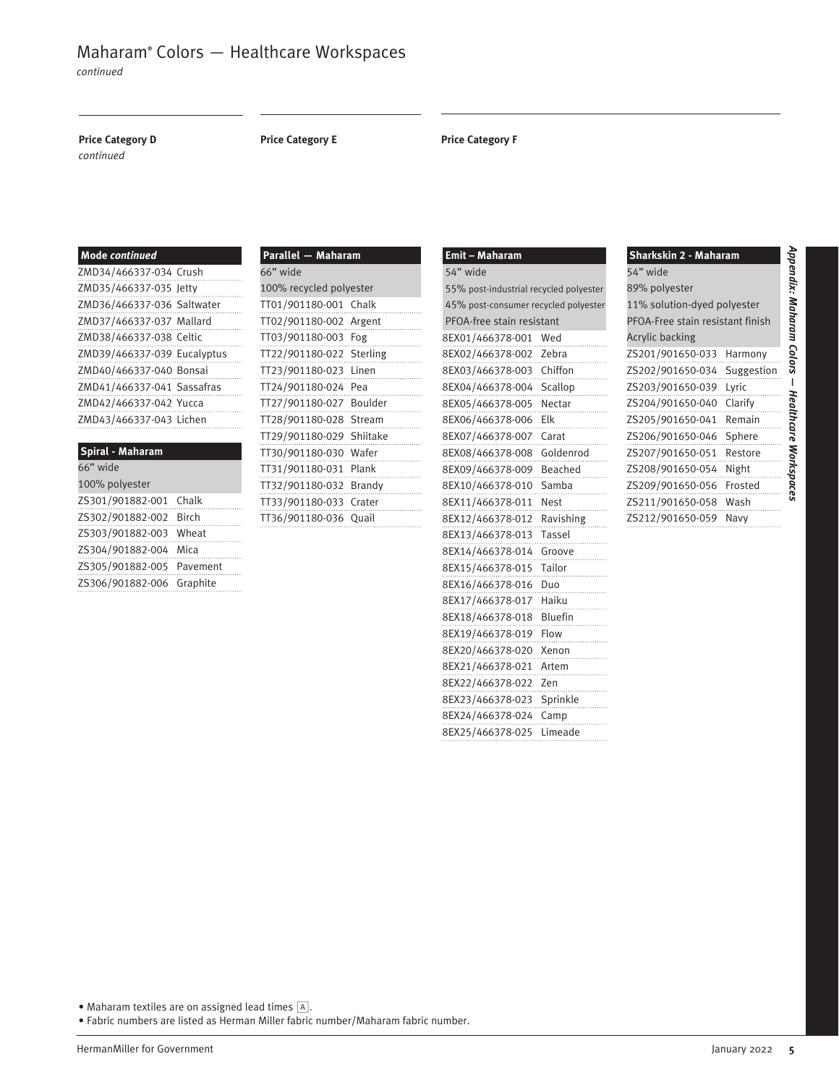*continued*

*continued*

#### **Price Category D**

#### **Price Category E Price Category F**

| Mode continued              |  |
|-----------------------------|--|
| ZMD34/466337-034 Crush      |  |
| ZMD35/466337-035 Jetty      |  |
| ZMD36/466337-036 Saltwater  |  |
| ZMD37/466337-037 Mallard    |  |
| ZMD38/466337-038 Celtic     |  |
| ZMD39/466337-039 Eucalyptus |  |
| ZMD40/466337-040 Bonsai     |  |
| ZMD41/466337-041 Sassafras  |  |
| ZMD42/466337-042 Yucca      |  |
| ZMD43/466337-043 Lichen     |  |

| Chalk                     |
|---------------------------|
| <b>Birch</b>              |
| Wheat                     |
| Mica                      |
| ZS305/901882-005 Pavement |
| Graphite                  |
|                           |

| Parallel - Maharam       |               |  |
|--------------------------|---------------|--|
| 66" wide                 |               |  |
| 100% recycled polyester  |               |  |
| TT01/901180-001 Chalk    |               |  |
| TT02/901180-002 Argent   |               |  |
| TT03/901180-003 Fog      | .             |  |
| TT22/901180-022 Sterling | .             |  |
| TT23/901180-023 Linen    | .             |  |
| TT24/901180-024          | Pea           |  |
| TT27/901180-027 Boulder  |               |  |
| TT28/901180-028          | Stream<br>.   |  |
| TT29/901180-029          | Shiitake<br>. |  |
| TT30/901180-030          | Wafer         |  |
| TT31/901180-031 Plank    | .             |  |
| TT32/901180-032 Brandy   | .             |  |
| TT33/901180-033 Crater   | .             |  |
| TT36/901180-036          | Quail         |  |

| Emit – Maharam                         |                |  |
|----------------------------------------|----------------|--|
| 54" wide                               |                |  |
| 55% post-industrial recycled polyester |                |  |
| 45% post-consumer recycled polyester   |                |  |
| PFOA-free stain resistant              |                |  |
| 8EX01/466378-001                       | Wed            |  |
| 8EX02/466378-002                       | Zebra          |  |
| 8EX03/466378-003                       | Chiffon        |  |
| 8EX04/466378-004                       | Scallop        |  |
| 8EX05/466378-005                       | Nectar         |  |
| 8EX06/466378-006                       | Elk            |  |
| 8EX07/466378-007                       | Carat          |  |
| 8EX08/466378-008                       | Goldenrod      |  |
| 8EX09/466378-009                       | Beached        |  |
| 8EX10/466378-010                       | Samba          |  |
| 8EX11/466378-011                       | Nest           |  |
| 8EX12/466378-012                       | Ravishing      |  |
| 8EX13/466378-013                       | Tassel         |  |
| 8EX14/466378-014                       | Groove         |  |
| 8EX15/466378-015                       | Tailor         |  |
| 8EX16/466378-016                       | Duo            |  |
| 8EX17/466378-017                       | Haiku          |  |
| 8EX18/466378-018                       | <b>Bluefin</b> |  |
| 8EX19/466378-019                       | Flow           |  |
| 8EX20/466378-020                       | Xenon          |  |
| 8EX21/466378-021                       | Artem          |  |
| 8EX22/466378-022                       | Zen            |  |
| 8EX23/466378-023                       | Sprinkle       |  |
| 8EX24/466378-024                       | Camp           |  |
| 8EX25/466378-025                       | Limeade        |  |
|                                        |                |  |

| Sharkskin 2 - Maharam            |            |  |
|----------------------------------|------------|--|
| 54" wide                         |            |  |
| 89% polyester                    |            |  |
| 11% solution-dyed polyester      |            |  |
| PFOA-Free stain resistant finish |            |  |
| <b>Acrylic backing</b>           |            |  |
| ZS201/901650-033                 | Harmony    |  |
| ZS202/901650-034                 | Suggestion |  |
| ZS203/901650-039                 | Lyric      |  |
| ZS204/901650-040                 | Clarify    |  |
| ZS205/901650-041                 | Remain     |  |
| ZS206/901650-046                 | Sphere     |  |
| ZS207/901650-051                 | Restore    |  |
| ZS208/901650-054                 | Night      |  |
| ZS209/901650-056                 | Frosted    |  |
| ZS211/901650-058                 | Wash       |  |
| ZS212/901650-059                 | Navv       |  |
|                                  |            |  |

• Maharam textiles are on assigned lead times  $\boxed{A}$ .